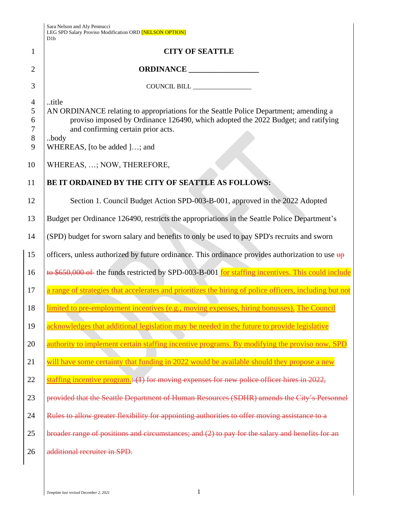|                            | Sara Nelson and Aly Pennucci<br>LEG SPD Salary Proviso Modification ORD [NELSON OPTION]<br>D1b                                                                                                                                                                    |  |  |
|----------------------------|-------------------------------------------------------------------------------------------------------------------------------------------------------------------------------------------------------------------------------------------------------------------|--|--|
| $\mathbf{1}$               | <b>CITY OF SEATTLE</b>                                                                                                                                                                                                                                            |  |  |
| 2                          |                                                                                                                                                                                                                                                                   |  |  |
| 3                          |                                                                                                                                                                                                                                                                   |  |  |
| 4<br>5<br>6<br>7<br>8<br>9 | title<br>AN ORDINANCE relating to appropriations for the Seattle Police Department; amending a<br>proviso imposed by Ordinance 126490, which adopted the 2022 Budget; and ratifying<br>and confirming certain prior acts.<br>body<br>WHEREAS, [to be added ]; and |  |  |
| 10                         | WHEREAS, ; NOW, THEREFORE,                                                                                                                                                                                                                                        |  |  |
| 11                         | BE IT ORDAINED BY THE CITY OF SEATTLE AS FOLLOWS:                                                                                                                                                                                                                 |  |  |
| 12                         | Section 1. Council Budget Action SPD-003-B-001, approved in the 2022 Adopted                                                                                                                                                                                      |  |  |
| 13                         | Budget per Ordinance 126490, restricts the appropriations in the Seattle Police Department's                                                                                                                                                                      |  |  |
| 14                         | (SPD) budget for sworn salary and benefits to only be used to pay SPD's recruits and sworn                                                                                                                                                                        |  |  |
| 15                         | officers, unless authorized by future ordinance. This ordinance provides authorization to use $\frac{1}{4}$                                                                                                                                                       |  |  |
| 16                         | to \$650,000 of the funds restricted by SPD-003-B-001 for staffing incentives. This could include                                                                                                                                                                 |  |  |
| 17                         | a range of strategies that accelerates and prioritizes the hiring of police officers, including but not                                                                                                                                                           |  |  |
| 18                         | limited to pre-employment incentives (e.g., moving expenses, hiring bonusses). The Council                                                                                                                                                                        |  |  |
| 19                         | acknowledges that additional legislation may be needed in the future to provide legislative                                                                                                                                                                       |  |  |
| 20                         | authority to implement certain staffing incentive programs. By modifying the proviso now, SPD                                                                                                                                                                     |  |  |
| 21                         | will have some certainty that funding in 2022 would be available should they propose a new                                                                                                                                                                        |  |  |
| 22                         | staffing incentive program. $(1)$ for moving expenses for new police officer hires in 2022,                                                                                                                                                                       |  |  |
| 23                         | provided that the Seattle Department of Human Resources (SDHR) amends the City's Personnel                                                                                                                                                                        |  |  |
| 24                         | Rules to allow greater flexibility for appointing authorities to offer moving assistance to a                                                                                                                                                                     |  |  |
| 25                         | broader range of positions and circumstances; and (2) to pay for the salary and benefits for an                                                                                                                                                                   |  |  |
| 26                         | additional recruiter in SPD.                                                                                                                                                                                                                                      |  |  |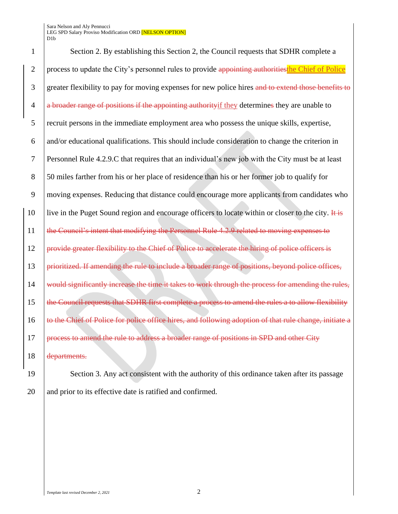Sara Nelson and Aly Pennucci LEG SPD Salary Proviso Modification ORD [NELSON OPTION] D1b

1 Section 2. By establishing this Section 2, the Council requests that SDHR complete a 2 process to update the City's personnel rules to provide appointing authorities the Chief of Police 3 greater flexibility to pay for moving expenses for new police hires and to extend those benefits to  $4$  a broader range of positions if the appointing authority if they determines they are unable to 5 recruit persons in the immediate employment area who possess the unique skills, expertise, 6 and/or educational qualifications. This should include consideration to change the criterion in 7 Personnel Rule 4.2.9.C that requires that an individual's new job with the City must be at least 8 50 miles farther from his or her place of residence than his or her former job to qualify for 9 moving expenses. Reducing that distance could encourage more applicants from candidates who 10 live in the Puget Sound region and encourage officers to locate within or closer to the city. It is 11 the Council's intent that modifying the Personnel Rule 4.2.9 related to moving expenses to 12 **provide greater flexibility to the Chief of Police to accelerate the hiring of police officers is** 13 **prioritized. If amending the rule to include a broader range of positions, beyond police offices,** 14 would significantly increase the time it takes to work through the process for amending the rules, 15 the Council requests that SDHR first complete a process to amend the rules a to allow flexibility 16 to the Chief of Police for police office hires, and following adoption of that rule change, initiate a 17 **process to amend the rule to address a broader range of positions in SPD and other City** 18 departments.

19 Section 3. Any act consistent with the authority of this ordinance taken after its passage 20 and prior to its effective date is ratified and confirmed.

*Template last revised December 2, 2021* 2